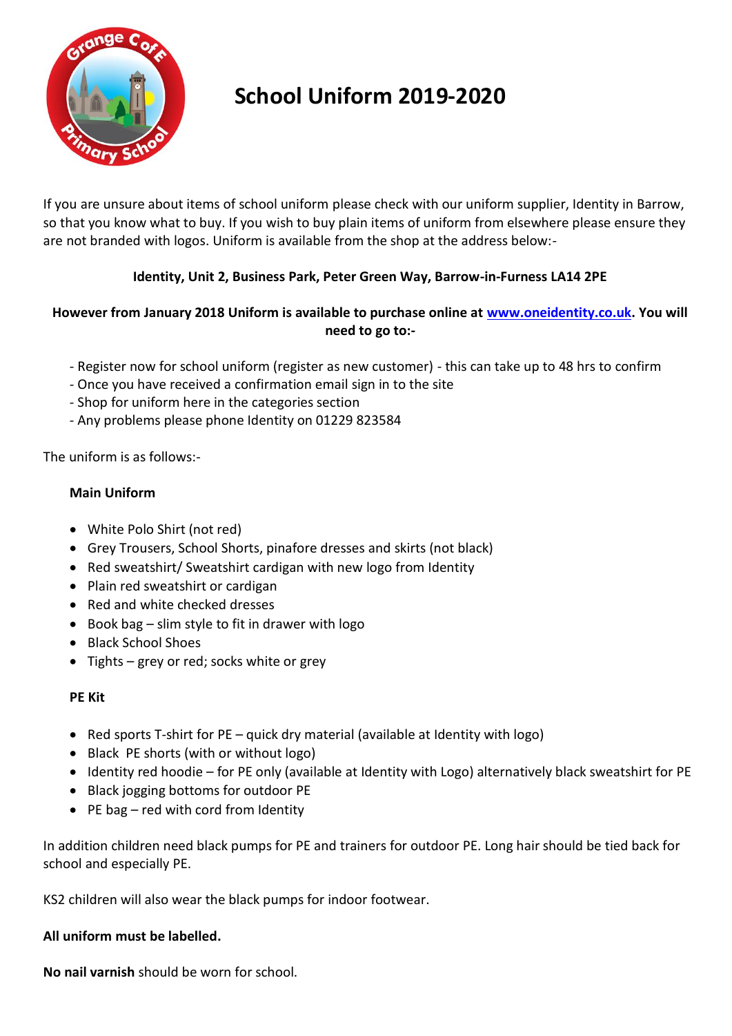

# **School Uniform 2019-2020**

If you are unsure about items of school uniform please check with our uniform supplier, Identity in Barrow, so that you know what to buy. If you wish to buy plain items of uniform from elsewhere please ensure they are not branded with logos. Uniform is available from the shop at the address below:-

## **Identity, Unit 2, Business Park, Peter Green Way, Barrow-in-Furness LA14 2PE**

### **However from January 2018 Uniform is available to purchase online at [www.oneidentity.co.uk.](http://www.oneidentity.co.uk/) You will need to go to:-**

- Register now for school uniform (register as new customer) this can take up to 48 hrs to confirm
- Once you have received a confirmation email sign in to the site
- Shop for uniform here in the categories section
- Any problems please phone Identity on 01229 823584

The uniform is as follows:-

## **Main Uniform**

- White Polo Shirt (not red)
- Grey Trousers, School Shorts, pinafore dresses and skirts (not black)
- Red sweatshirt/ Sweatshirt cardigan with new logo from Identity
- Plain red sweatshirt or cardigan
- Red and white checked dresses
- $\bullet$  Book bag slim style to fit in drawer with logo
- Black School Shoes
- Tights grey or red; socks white or grey

#### **PE Kit**

- Red sports T-shirt for PE quick dry material (available at Identity with logo)
- Black PE shorts (with or without logo)
- Identity red hoodie for PE only (available at Identity with Logo) alternatively black sweatshirt for PE
- Black jogging bottoms for outdoor PE
- PE bag red with cord from Identity

In addition children need black pumps for PE and trainers for outdoor PE. Long hair should be tied back for school and especially PE.

KS2 children will also wear the black pumps for indoor footwear.

#### **All uniform must be labelled.**

**No nail varnish** should be worn for school.